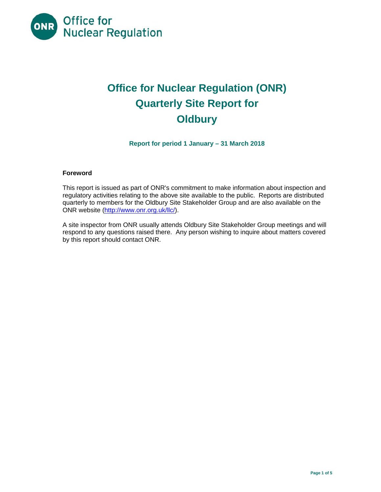

# **Office for Nuclear Regulation (ONR) Quarterly Site Report for Oldbury**

**Report for period 1 January – 31 March 2018** 

## **Foreword**

This report is issued as part of ONR's commitment to make information about inspection and regulatory activities relating to the above site available to the public. Reports are distributed quarterly to members for the Oldbury Site Stakeholder Group and are also available on the ONR website (http://www.onr.org.uk/llc/).

A site inspector from ONR usually attends Oldbury Site Stakeholder Group meetings and will respond to any questions raised there. Any person wishing to inquire about matters covered by this report should contact ONR.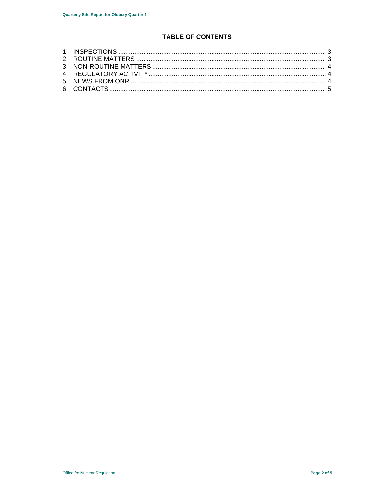# **TABLE OF CONTENTS**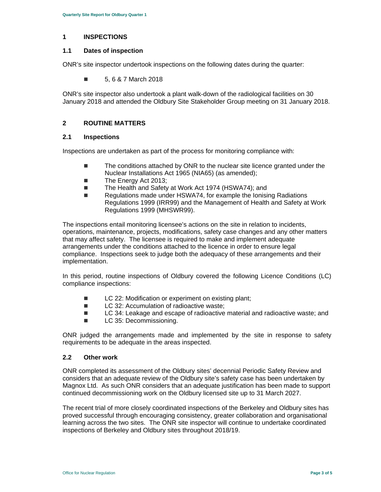#### **1 INSPECTIONS**

#### **1.1 Dates of inspection**

ONR's site inspector undertook inspections on the following dates during the quarter:

■ 5, 6 & 7 March 2018

ONR's site inspector also undertook a plant walk-down of the radiological facilities on 30 January 2018 and attended the Oldbury Site Stakeholder Group meeting on 31 January 2018.

## **2 ROUTINE MATTERS**

#### **2.1 Inspections**

Inspections are undertaken as part of the process for monitoring compliance with:

- The conditions attached by ONR to the nuclear site licence granted under the Nuclear Installations Act 1965 (NIA65) (as amended);
- The Energy Act 2013;
- The Health and Safety at Work Act 1974 (HSWA74); and
- Regulations made under HSWA74, for example the Ionising Radiations Regulations 1999 (IRR99) and the Management of Health and Safety at Work Regulations 1999 (MHSWR99).

The inspections entail monitoring licensee's actions on the site in relation to incidents, operations, maintenance, projects, modifications, safety case changes and any other matters that may affect safety. The licensee is required to make and implement adequate arrangements under the conditions attached to the licence in order to ensure legal compliance. Inspections seek to judge both the adequacy of these arrangements and their implementation.

In this period, routine inspections of Oldbury covered the following Licence Conditions (LC) compliance inspections:

- LC 22: Modification or experiment on existing plant:
- LC 32: Accumulation of radioactive waste;
- LC 34: Leakage and escape of radioactive material and radioactive waste; and
- **LC 35: Decommissioning.**

ONR judged the arrangements made and implemented by the site in response to safety requirements to be adequate in the areas inspected.

## **2.2 Other work**

ONR completed its assessment of the Oldbury sites' decennial Periodic Safety Review and considers that an adequate review of the Oldbury site's safety case has been undertaken by Magnox Ltd. As such ONR considers that an adequate justification has been made to support continued decommissioning work on the Oldbury licensed site up to 31 March 2027.

The recent trial of more closely coordinated inspections of the Berkeley and Oldbury sites has proved successful through encouraging consistency, greater collaboration and organisational learning across the two sites. The ONR site inspector will continue to undertake coordinated inspections of Berkeley and Oldbury sites throughout 2018/19.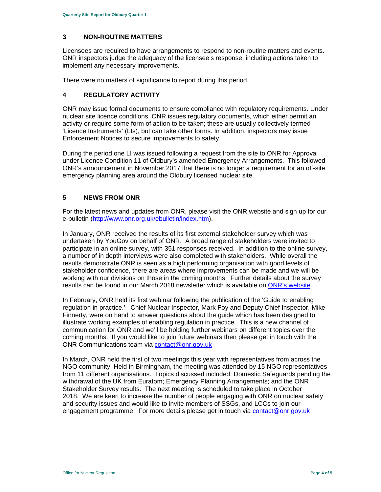#### **3 NON-ROUTINE MATTERS**

Licensees are required to have arrangements to respond to non-routine matters and events. ONR inspectors judge the adequacy of the licensee's response, including actions taken to implement any necessary improvements.

There were no matters of significance to report during this period.

#### **4 REGULATORY ACTIVITY**

ONR may issue formal documents to ensure compliance with regulatory requirements. Under nuclear site licence conditions, ONR issues regulatory documents, which either permit an activity or require some form of action to be taken; these are usually collectively termed 'Licence Instruments' (LIs), but can take other forms. In addition, inspectors may issue Enforcement Notices to secure improvements to safety.

During the period one LI was issued following a request from the site to ONR for Approval under Licence Condition 11 of Oldbury's amended Emergency Arrangements. This followed ONR's announcement in November 2017 that there is no longer a requirement for an off-site emergency planning area around the Oldbury licensed nuclear site.

#### **5 NEWS FROM ONR**

For the latest news and updates from ONR, please visit the ONR website and sign up for our e-bulletin (http://www.onr.org.uk/ebulletin/index.htm).

In January, ONR received the results of its first external stakeholder survey which was undertaken by YouGov on behalf of ONR. A broad range of stakeholders were invited to participate in an online survey, with 351 responses received. In addition to the online survey, a number of in depth interviews were also completed with stakeholders. While overall the results demonstrate ONR is seen as a high performing organisation with good levels of stakeholder confidence, there are areas where improvements can be made and we will be working with our divisions on those in the coming months. Further details about the survey results can be found in our March 2018 newsletter which is available on ONR's website.

In February, ONR held its first webinar following the publication of the 'Guide to enabling regulation in practice.' Chief Nuclear Inspector, Mark Foy and Deputy Chief Inspector, Mike Finnerty, were on hand to answer questions about the guide which has been designed to illustrate working examples of enabling regulation in practice. This is a new channel of communication for ONR and we'll be holding further webinars on different topics over the coming months. If you would like to join future webinars then please get in touch with the ONR Communications team via contact@onr.gov.uk

In March, ONR held the first of two meetings this year with representatives from across the NGO community. Held in Birmingham, the meeting was attended by 15 NGO representatives from 11 different organisations. Topics discussed included: Domestic Safeguards pending the withdrawal of the UK from Euratom; Emergency Planning Arrangements; and the ONR Stakeholder Survey results. The next meeting is scheduled to take place in October 2018. We are keen to increase the number of people engaging with ONR on nuclear safety and security issues and would like to invite members of SSGs, and LCCs to join our engagement programme. For more details please get in touch via contact@onr.gov.uk